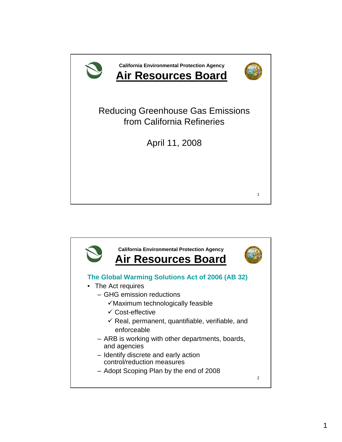

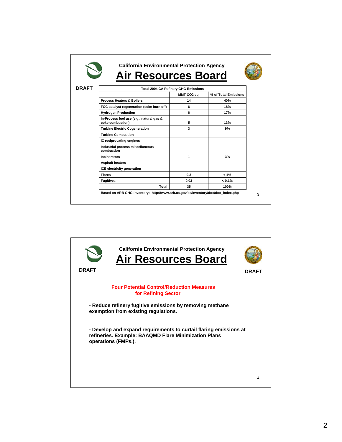| <b>Air Resources Board</b>                                   |             |                      |
|--------------------------------------------------------------|-------------|----------------------|
|                                                              |             |                      |
| <b>Total 2004 CA Refinery GHG Emissions</b>                  |             |                      |
|                                                              | MMT CO2 ea. | % of Total Emissions |
| <b>Process Heaters &amp; Boilers</b>                         | 14          | 40%                  |
| FCC catalyst regeneration (coke burn off)                    | 6           | 18%                  |
| <b>Hydrogen Production</b>                                   | 6           | 17%                  |
| In-Process fuel use (e.g., natural gas &<br>coke combustion) | 5           | 13%                  |
| <b>Turbine Electric Cogeneration</b>                         | 3           | 9%                   |
| <b>Turbine Combustion</b>                                    |             |                      |
| IC reciprocating engines                                     |             |                      |
| Industrial process miscellaneous<br>combustion               |             |                      |
| <b>Incinerators</b>                                          | 1           | 3%                   |
| <b>Asphalt heaters</b>                                       |             |                      |
| ICE electricity generation                                   |             |                      |
| <b>Flares</b>                                                | 0.3         | $1\%$                |
| <b>Fugitives</b>                                             | 0.03        | $< 0.1\%$            |
| Total                                                        | 35          | 100%                 |

![](_page_1_Picture_1.jpeg)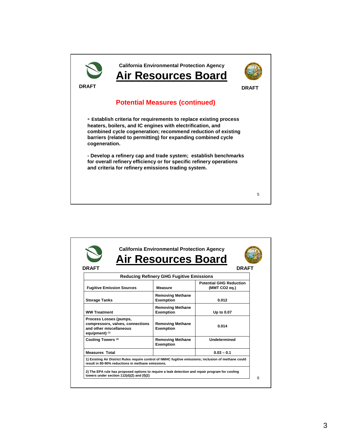![](_page_2_Picture_0.jpeg)

| <b>DRAFT</b>                                                                                            |                                                 | <b>DRAFT</b>                                    |
|---------------------------------------------------------------------------------------------------------|-------------------------------------------------|-------------------------------------------------|
|                                                                                                         | <b>Reducing Refinery GHG Fugitive Emissions</b> |                                                 |
| <b>Fugitive Emission Sources</b>                                                                        | <b>Measure</b>                                  | <b>Potential GHG Reduction</b><br>(MMT CO2 eq.) |
| <b>Storage Tanks</b>                                                                                    | <b>Removing Methane</b><br><b>Exemption</b>     | 0.012                                           |
| <b>WW Treatment</b>                                                                                     | <b>Removing Methane</b><br><b>Exemption</b>     | Up to 0.07                                      |
| Process Losses (pumps,<br>compressors, valves, connections<br>and other miscellaneous<br>equipment) (1) | <b>Removing Methane</b><br><b>Exemption</b>     | 0.014                                           |
| Cooling Towers <sup>(2)</sup>                                                                           | <b>Removing Methane</b><br><b>Exemption</b>     | Undetermined                                    |
| <b>Measures Total</b>                                                                                   |                                                 | $0.03 - 0.1$                                    |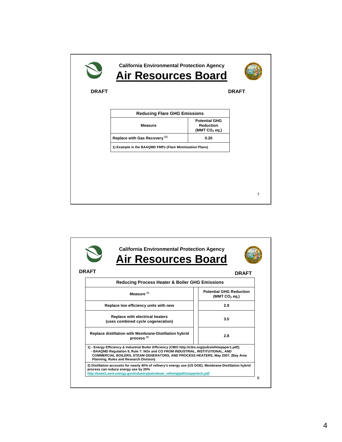|              | <b>California Environmental Protection Agency</b><br><b>Air Resources Board</b> |                                                             |                |
|--------------|---------------------------------------------------------------------------------|-------------------------------------------------------------|----------------|
| <b>DRAFT</b> |                                                                                 |                                                             | <b>DRAFT</b>   |
|              | <b>Reducing Flare GHG Emissions</b>                                             |                                                             |                |
|              | <b>Measure</b>                                                                  | <b>Potential GHG</b><br><b>Reduction</b><br>(MMT $CO2$ eq.) |                |
|              | Replace with Gas Recovery (1)                                                   | 0.20                                                        |                |
|              | 1) Example is the BAAQMD FMPs (Flare Minimization Plans)                        |                                                             |                |
|              |                                                                                 |                                                             |                |
|              |                                                                                 |                                                             | $\overline{7}$ |

![](_page_3_Picture_1.jpeg)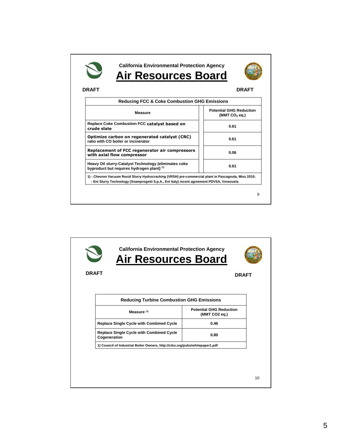| <b>DRAFT</b>                                                                                        | <b>DRAFT</b>                                                |
|-----------------------------------------------------------------------------------------------------|-------------------------------------------------------------|
| <b>Reducing FCC &amp; Coke Combustion GHG Emissions</b>                                             |                                                             |
| <b>Measure</b>                                                                                      | <b>Potential GHG Reduction</b><br>(MMT CO <sub>2</sub> eq.) |
| Replace Coke Combustion FCC catalyst based on<br>crude slate                                        | 0.61                                                        |
| Optimize carbon on regenerated catalyst (CRC)<br>ratio with CO boiler or incinerator                | 0.61                                                        |
| Replacement of FCC regenerator air compressors<br>with axial flow compressor                        | 0.06                                                        |
| Heavy Oil slurry-Catalyst Technology (eliminates coke<br>byproduct but requires hydrogen plant) (1) | 0.61                                                        |

![](_page_4_Picture_1.jpeg)